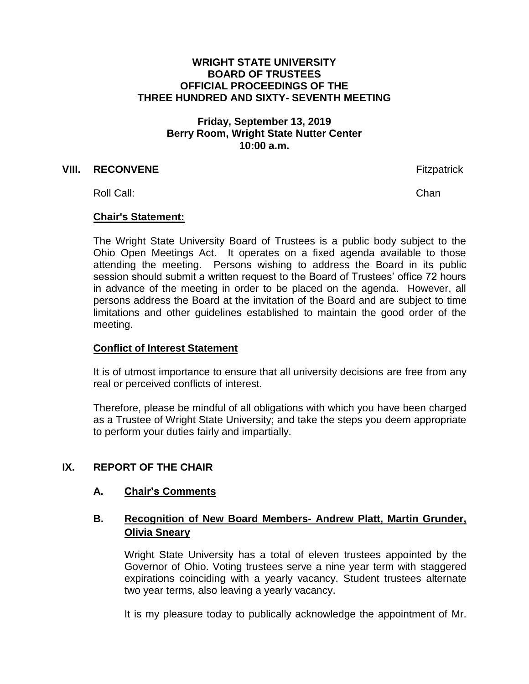#### **WRIGHT STATE UNIVERSITY BOARD OF TRUSTEES OFFICIAL PROCEEDINGS OF THE THREE HUNDRED AND SIXTY- SEVENTH MEETING**

## **Friday, September 13, 2019 Berry Room, Wright State Nutter Center 10:00 a.m.**

#### **VIII. RECONVENE Fitzpatrick**

Roll Call: Channel Channel Channel Channel Channel Channel Channel Channel Channel Channel Channel Channel Channel Channel Channel Channel Channel Channel Channel Channel Channel Channel Channel Channel Channel Channel Cha

#### **Chair's Statement:**

The Wright State University Board of Trustees is a public body subject to the Ohio Open Meetings Act. It operates on a fixed agenda available to those attending the meeting. Persons wishing to address the Board in its public session should submit a written request to the Board of Trustees' office 72 hours in advance of the meeting in order to be placed on the agenda. However, all persons address the Board at the invitation of the Board and are subject to time limitations and other guidelines established to maintain the good order of the meeting.

## **Conflict of Interest Statement**

It is of utmost importance to ensure that all university decisions are free from any real or perceived conflicts of interest.

Therefore, please be mindful of all obligations with which you have been charged as a Trustee of Wright State University; and take the steps you deem appropriate to perform your duties fairly and impartially.

## **IX. REPORT OF THE CHAIR**

## **A. Chair's Comments**

## **B. Recognition of New Board Members- Andrew Platt, Martin Grunder, Olivia Sneary**

Wright State University has a total of eleven trustees appointed by the Governor of Ohio. Voting trustees serve a nine year term with staggered expirations coinciding with a yearly vacancy. Student trustees alternate two year terms, also leaving a yearly vacancy.

It is my pleasure today to publically acknowledge the appointment of Mr.